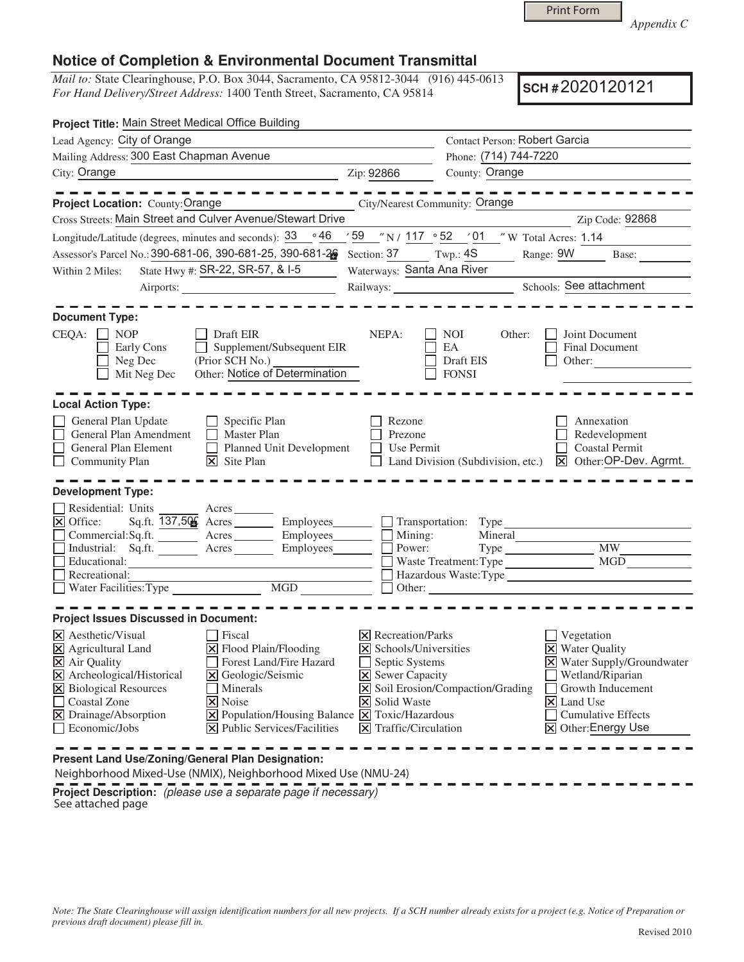Print Form

*Appendix C* 

## **Notice of Completion & Environmental Document Transmittal**

*Mail to:* State Clearinghouse, P.O. Box 3044, Sacramento, CA 95812-3044 (916) 445-0613 *For Hand Delivery/Street Address:* 1400 Tenth Street, Sacramento, CA 95814

**SCH #** 2020120121

| Project Title: Main Street Medical Office Building                                                                                                                                                                                                                                                                                                                                              |                                                                                                                                                                                |                                                                                                        |                                                                                                                                                                                |
|-------------------------------------------------------------------------------------------------------------------------------------------------------------------------------------------------------------------------------------------------------------------------------------------------------------------------------------------------------------------------------------------------|--------------------------------------------------------------------------------------------------------------------------------------------------------------------------------|--------------------------------------------------------------------------------------------------------|--------------------------------------------------------------------------------------------------------------------------------------------------------------------------------|
| Lead Agency: City of Orange                                                                                                                                                                                                                                                                                                                                                                     |                                                                                                                                                                                | Contact Person: Robert Garcia                                                                          |                                                                                                                                                                                |
| Mailing Address: 300 East Chapman Avenue                                                                                                                                                                                                                                                                                                                                                        |                                                                                                                                                                                | Phone: (714) 744-7220                                                                                  |                                                                                                                                                                                |
| City: Orange<br><u> 1980 - Johann Stoff, fransk politik (d. 1980)</u>                                                                                                                                                                                                                                                                                                                           | Zip: 92866                                                                                                                                                                     | County: Orange                                                                                         | <u> 1989 - Johann John Stein, mars an de Frankrik (f. 1918)</u>                                                                                                                |
| -----------<br>Project Location: County: Orange                                                                                                                                                                                                                                                                                                                                                 |                                                                                                                                                                                | City/Nearest Community: Orange                                                                         | -----------                                                                                                                                                                    |
| Cross Streets: Main Street and Culver Avenue/Stewart Drive                                                                                                                                                                                                                                                                                                                                      |                                                                                                                                                                                |                                                                                                        | Zip Code: 92868                                                                                                                                                                |
| ∘46<br>Longitude/Latitude (degrees, minutes and seconds): 33                                                                                                                                                                                                                                                                                                                                    |                                                                                                                                                                                | $\frac{1}{2}$ 59 $\frac{1}{2}$ 117 $\frac{1}{2}$ 52 $\frac{1}{2}$ 11 $\frac{1}{2}$ W Total Acres: 1.14 |                                                                                                                                                                                |
| Assessor's Parcel No.: 390-681-06, 390-681-25, 390-681-26                                                                                                                                                                                                                                                                                                                                       | Section: 37 Twp.: 4S                                                                                                                                                           |                                                                                                        | Range: 9W Base:                                                                                                                                                                |
| State Hwy #: SR-22, SR-57, & I-5<br>Within 2 Miles:                                                                                                                                                                                                                                                                                                                                             | Waterways: Santa Ana River                                                                                                                                                     |                                                                                                        |                                                                                                                                                                                |
|                                                                                                                                                                                                                                                                                                                                                                                                 |                                                                                                                                                                                | Railways: Schools: See attachment                                                                      |                                                                                                                                                                                |
| <b>Document Type:</b><br>$CEQA: \Box NP$<br>Draft EIR<br>Supplement/Subsequent EIR<br>Early Cons<br>$\perp$<br>Neg Dec<br>(Prior SCH No.)<br>Other: Notice of Determination<br>Mit Neg Dec                                                                                                                                                                                                      | NEPA:                                                                                                                                                                          | NOI<br>Other:<br>EA<br>Draft EIS<br><b>FONSI</b>                                                       | Joint Document<br>Final Document<br>Other:                                                                                                                                     |
| <b>Local Action Type:</b><br>General Plan Update<br>$\Box$ Specific Plan<br>General Plan Amendment<br>$\Box$ Master Plan<br>General Plan Element<br>Planned Unit Development<br>$\Box$ Community Plan<br>$\mathsf{X}$ Site Plan<br><b>Development Type:</b>                                                                                                                                     | Rezone<br>Prezone<br>Use Permit                                                                                                                                                | Land Division (Subdivision, etc.) X Other: OP-Dev. Agrmt.                                              | Annexation<br>Redevelopment<br><b>Coastal Permit</b>                                                                                                                           |
| Residential: Units Acres<br>⊠ Office: Sq.ft. 137,506 Acres Employees Transportation: Type<br>Commercial:Sq.ft. ________ Acres _________ Employees ________ Mining:<br>Industrial: Sq.ft. _______ Acres ________ Employees _______ $\square$<br>Recreational:<br>■ Recreational:<br>■ Water Facilities: Type  ■ MGD                                                                              | Power:                                                                                                                                                                         | Waste Treatment: Type<br>Hazardous Waste:Type<br>$\Box$ Other: $\Box$                                  | <b>MW</b>                                                                                                                                                                      |
| <b>Project Issues Discussed in Document:</b>                                                                                                                                                                                                                                                                                                                                                    |                                                                                                                                                                                |                                                                                                        |                                                                                                                                                                                |
| $\times$ Aesthetic/Visual<br><b>Fiscal</b><br>X Flood Plain/Flooding<br>$\times$ Agricultural Land<br>X Air Quality<br>Forest Land/Fire Hazard<br>X Archeological/Historical<br>X Geologic/Seismic<br>X Biological Resources<br>Minerals<br>Coastal Zone<br>X Noise<br>X Drainage/Absorption<br>X Population/Housing Balance X Toxic/Hazardous<br>Economic/Jobs<br>X Public Services/Facilities | $\times$ Recreation/Parks<br>$\boxtimes$ Schools/Universities<br>Septic Systems<br><b>X</b> Sewer Capacity<br>X Solid Waste<br>$\vert\mathbf{\nabla}\vert$ Traffic/Circulation | X Soil Erosion/Compaction/Grading<br>$\overline{\mathsf{x}}$ Land Use                                  | $\blacksquare$ Vegetation<br><b>X</b> Water Quality<br>X Water Supply/Groundwater<br>Wetland/Riparian<br>Growth Inducement<br><b>Cumulative Effects</b><br>⊠ Other: Energy Use |

**Present Land Use/Zoning/General Plan Designation:**

 Neighborhood Mixed-Use (NMIX), Neighborhood Mixed Use (NMU-24) **Project Description:** (please use a separate page if necessary) See attached page

*Note: The State Clearinghouse will assign identification numbers for all new projects. If a SCH number already exists for a project (e.g. Notice of Preparation or previous draft document) please fill in.*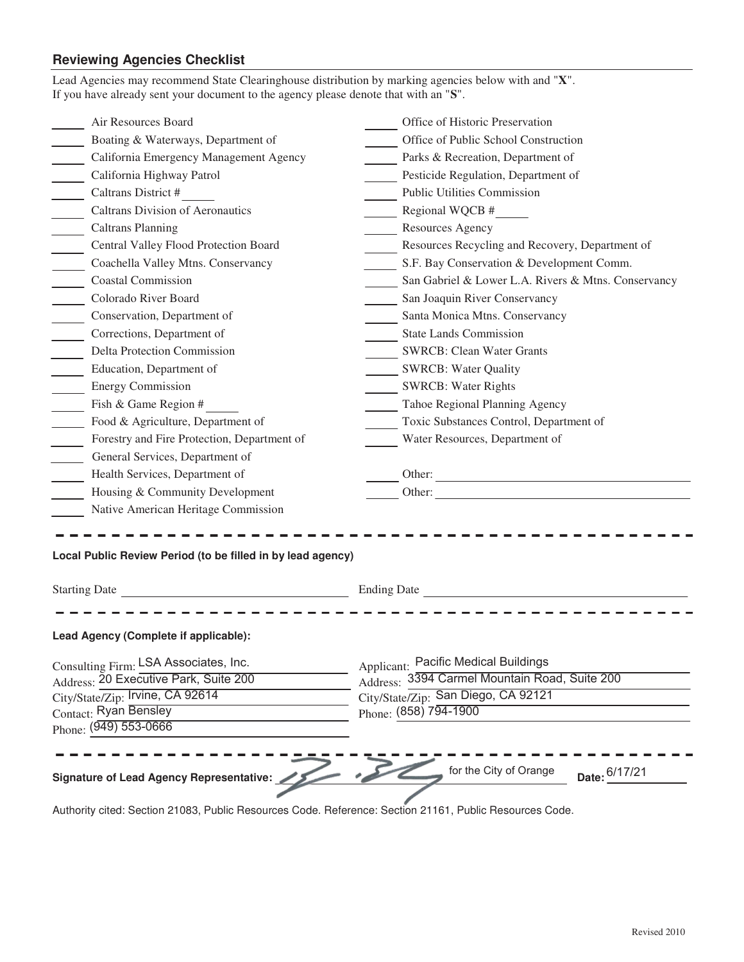## **Reviewing Agencies Checklist**

| Lead Agencies may recommend State Clearinghouse distribution by marking agencies below with and "X".<br>If you have already sent your document to the agency please denote that with an "S". |                                                     |  |  |
|----------------------------------------------------------------------------------------------------------------------------------------------------------------------------------------------|-----------------------------------------------------|--|--|
| Air Resources Board                                                                                                                                                                          | Office of Historic Preservation                     |  |  |
| Boating & Waterways, Department of                                                                                                                                                           | Office of Public School Construction                |  |  |
| California Emergency Management Agency                                                                                                                                                       | Parks & Recreation, Department of                   |  |  |
| California Highway Patrol                                                                                                                                                                    | Pesticide Regulation, Department of                 |  |  |
| Caltrans District #<br>$\mathcal{L}^{\text{max}}$                                                                                                                                            | <b>Public Utilities Commission</b>                  |  |  |
| Caltrans Division of Aeronautics                                                                                                                                                             | Regional WQCB #                                     |  |  |
| <b>Caltrans Planning</b>                                                                                                                                                                     | Resources Agency                                    |  |  |
| Central Valley Flood Protection Board                                                                                                                                                        | Resources Recycling and Recovery, Department of     |  |  |
| Coachella Valley Mtns. Conservancy                                                                                                                                                           | S.F. Bay Conservation & Development Comm.           |  |  |
| <b>Coastal Commission</b>                                                                                                                                                                    | San Gabriel & Lower L.A. Rivers & Mtns. Conservancy |  |  |
| Colorado River Board<br>$\mathcal{L}^{\text{max}}$                                                                                                                                           | San Joaquin River Conservancy                       |  |  |
| Conservation, Department of                                                                                                                                                                  | Santa Monica Mtns. Conservancy                      |  |  |
| Corrections, Department of                                                                                                                                                                   | <b>State Lands Commission</b>                       |  |  |
| <b>Delta Protection Commission</b>                                                                                                                                                           | <b>SWRCB: Clean Water Grants</b>                    |  |  |
| Education, Department of<br>$\frac{1}{2}$                                                                                                                                                    | SWRCB: Water Quality                                |  |  |
| Energy Commission                                                                                                                                                                            | <b>SWRCB: Water Rights</b>                          |  |  |
| Fish & Game Region #                                                                                                                                                                         | Tahoe Regional Planning Agency                      |  |  |
| Food & Agriculture, Department of                                                                                                                                                            | Toxic Substances Control, Department of             |  |  |
| Forestry and Fire Protection, Department of                                                                                                                                                  | Water Resources, Department of                      |  |  |
| General Services, Department of                                                                                                                                                              |                                                     |  |  |
| Health Services, Department of                                                                                                                                                               | Other:                                              |  |  |
| Housing & Community Development                                                                                                                                                              |                                                     |  |  |
| Native American Heritage Commission                                                                                                                                                          |                                                     |  |  |
| Local Public Review Period (to be filled in by lead agency)                                                                                                                                  |                                                     |  |  |
| <b>Starting Date</b>                                                                                                                                                                         | <b>Ending Date</b>                                  |  |  |
| Lead Agency (Complete if applicable):                                                                                                                                                        |                                                     |  |  |
| Consulting Firm: LSA Associates, Inc.                                                                                                                                                        | <b>Applicant: Pacific Medical Buildings</b>         |  |  |
| Address: 20 Executive Park, Suite 200                                                                                                                                                        | Address: 3394 Carmel Mountain Road, Suite 200       |  |  |
| City/State/Zip: Trvine, CA 92614                                                                                                                                                             | City/State/Zip: San Diego, CA 92121                 |  |  |
| Contact: Ryan Bensley                                                                                                                                                                        | Phone: (858) 794-1900                               |  |  |
| Phone: (949) 553-0666                                                                                                                                                                        |                                                     |  |  |
|                                                                                                                                                                                              |                                                     |  |  |
| Signature of Lead Agency Representative:                                                                                                                                                     | for the City of Orange<br>Date: 6/17/21             |  |  |
| Authority cited: Section 21083, Public Resources Code. Reference: Section 21161, Public Resources Code.                                                                                      |                                                     |  |  |